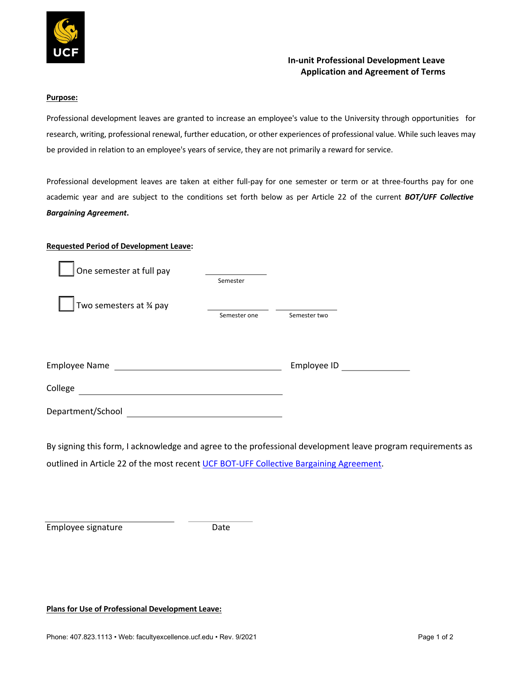

## **In-unit Professional Development Leave Application and Agreement of Terms**

## **Purpose:**

Professional development leaves are granted to increase an employee's value to the University through opportunities for research, writing, professional renewal, further education, or other experiences of professional value. While such leaves may be provided in relation to an employee's years of service, they are not primarily a reward for service.

Professional development leaves are taken at either full-pay for one semester or term or at three-fourths pay for one academic year and are subject to the conditions set forth below as per Article 22 of the current *BOT/UFF Collective Bargaining Agreement***.** 

## **Requested Period of Development Leave:**

| One semester at full pay | Semester     |              |  |
|--------------------------|--------------|--------------|--|
| Two semesters at % pay   | Semester one | Semester two |  |
| <b>Employee Name</b>     |              | Employee ID  |  |
| College                  |              |              |  |
| Department/School        |              |              |  |

By signing this form, I acknowledge and agree to the professional development leave program requirements as outlined in Article 22 of the most recent UCF BOT-UFF Collective Bargaining Agreement.

Employee signature Date

**Plans for Use of Professional Development Leave:**